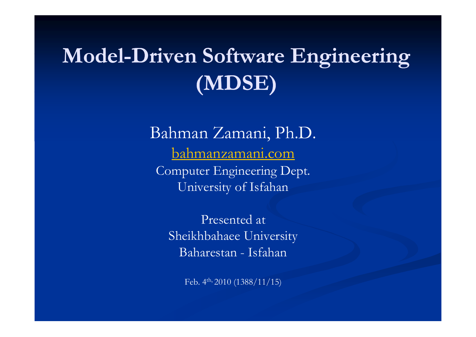## **Model-Driven Software Engineering (MDSE)**

Bahman Zamani, Ph.D. bahmanzamani.com Computer Engineering Dept. University of Isfahan

> Presented at Sheikhbahaee University Baharestan - Isfahan

> > Feb. 4<sup>th,</sup> 2010 (1388/11/15)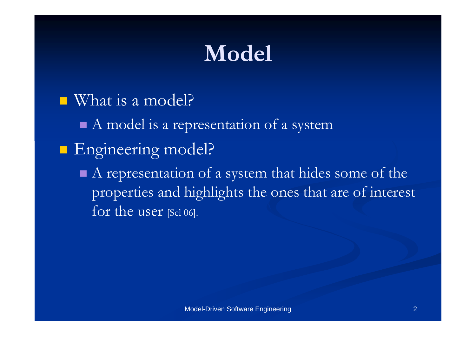# **Model**

■ What is a model?  $\blacksquare$  A model is a representation of a system **Engineering model?**  $\blacksquare$  A representation of a system that hides some of the properties and highlights the ones that are of interest for the user [Sel 06].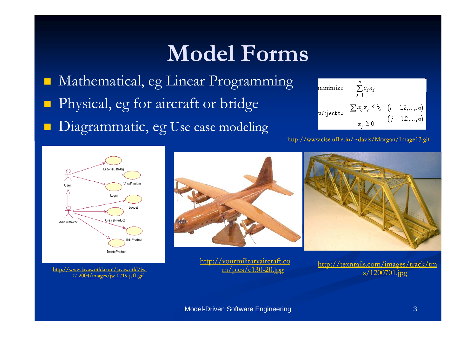## **Model Forms**

 $\Box$  Mathematical, eg Linear Programming  $\blacksquare$  Physical, eg for aircraft or bridge T Diagrammatic, eg Use case modeling



http://www.cise.ufl.edu/~davis/Morgan/Image13.gif



http://www.javaworld.com/javaworld/jw-<br>07-2004/images/jw-0719-jsf1.gif



http://yourmilitaryaircraft.co  $m/pics/c130-20.jpg$ 



http://texnrails.com/images/track/tm<br>s/1200701.jpg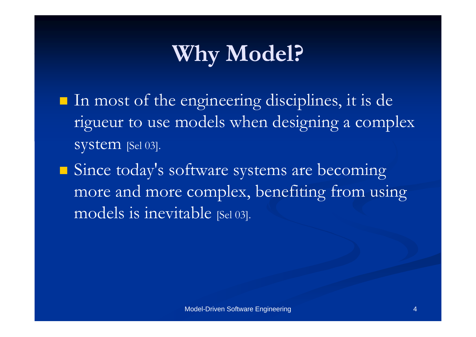# **Why Model?**

- In most of the engineering disciplines, it is de rigueur to use models when designing a complex system [Sel 03].
- Since today's software systems are becoming more and more complex, benefiting from using models is inevitable [Sel 03].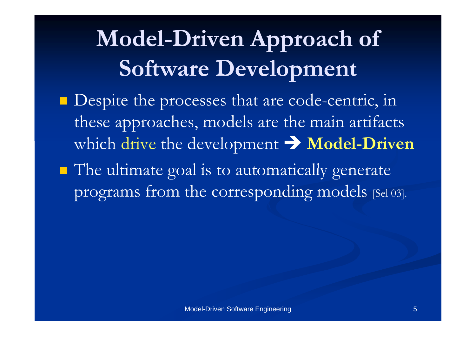# Model-Driven Approach of **Software Development**

- **Despite the processes that are code-centric, in** these approaches, models are the main artifacts which drive the development **I** Model-Driven
- $\blacksquare$  The ultimate goal is to automatically generate programs from the corresponding models [Sel 03].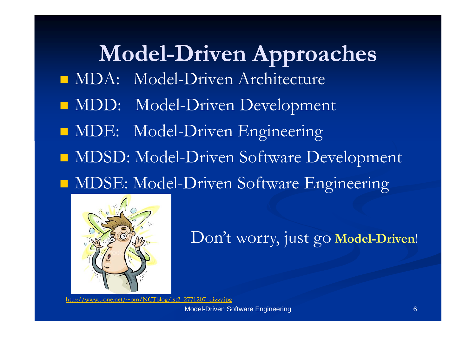# **Model-Driven Approaches NDA: Model-Driven Architecture NDD:** Model-Driven Development **MDE:** Model-Driven Engineering MDSD: Model-Driven Software Development **NDSE: Model-Driven Software Engineering**



Don't worry, just go Model-Driven!

http://www.t-one.net/~om/NCTblog/ist2\_2771207\_dizzy.jpg

Model-Driven Software Engineering 6 and 6 and 6 and 6 and 6 and 6 and 6 and 6 and 6 and 6 and 6 and 6 and 6 and 6 and 6 and 6 and 6 and 6 and 6 and 6 and 6 and 6 and 6 and 6 and 6 and 6 and 6 and 6 and 6 and 6 and 6 and 6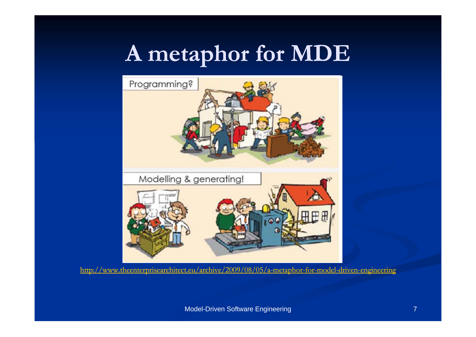## **A metaphor for MDE**



http://www.theenterprisearchitect.eu/archive/2009/08/05/a-metaphor-for-model-driven-engineering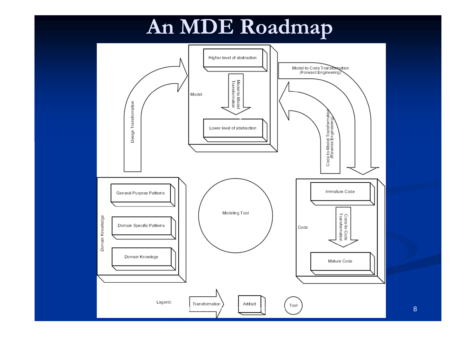### **An MDE Roadmap**

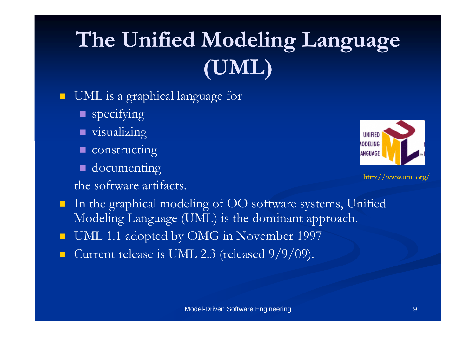# **The Unified Modeling Language (UML)**

- **I** UML is a graphical language for
	- **specifying**
	- **n** visualizing
	- **Constructing**
	- **documenting**
	- the software artifacts.



http://www.uml.org/

- $\blacksquare$  In the graphical modeling of OO software systems, Unified Modeling Language (UML) is the dominant approach.
- $\blacksquare$ UML 1.1 adopted by OMG in November 1997
- П Current release is UML 2.3 (released 9/9/09).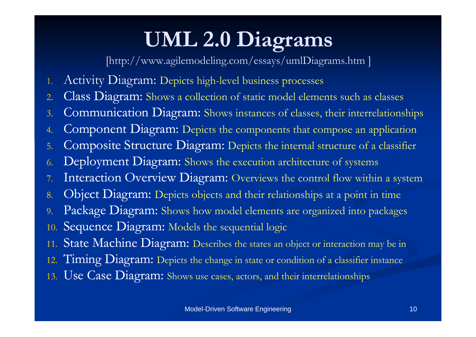### **UML 2.0 Diagrams**

[http://www.agilemodeling.com/essays/umlDiagrams.htm ]

- 1.Activity Diagram: Depicts high-level business processes
- 2.Class Diagram: Shows a collection of static model elements such as classes
- 3.Communication Diagram: Shows instances of classes, their interrelationships
- 4.Component Diagram: Depicts the components that compose an application
- 5. Composite Structure Diagram: Depicts the internal structure of a classifier
- 6.Deployment Diagram: Shows the execution architecture of systems
- 7.Interaction Overview Diagram: Overviews the control flow within a system
- 8.Object Diagram: Depicts objects and their relationships at a point in time
- 9. Package Diagram: Shows how model elements are organized into packages
- 10. Sequence Diagram: Models the sequential logic
- 11. State Machine Diagram: Describes the states an object or interaction may be in
- 12. Timing Diagram: Depicts the change in state or condition of a classifier instance
- 13. Use Case Diagram: Shows use cases, actors, and their interrelationships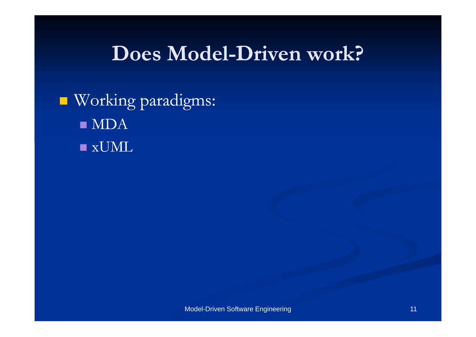### **Does Model Model-Driven work? Driven**

**Working paradigms:**  $\blacksquare$  MDA  $\blacksquare$  xUML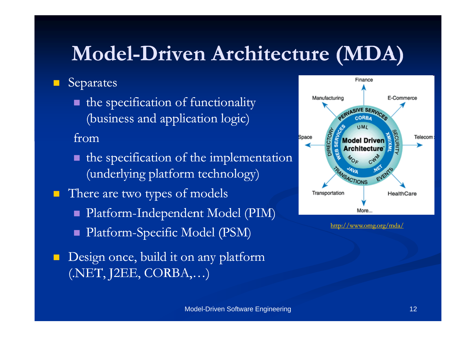### **Model-Driven Architecture (MDA)**

#### **Separates**

■ the specification of functionality (business and application logic)

#### from

- the specification of the implementation (underlying platform technology)
- $\blacksquare$  There are two types of models
	- **Platform-Independent Model (PIM)**
	- Platform-Specific Model (PSM) Specific http://www.omg.org/mda/
- $\blacksquare$  Design once, build it on any platform  $(NET, J2EE, CORBA,...)$

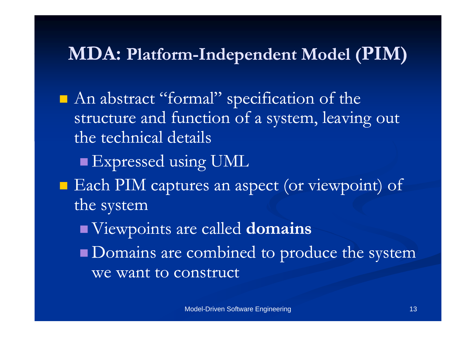### **MDA: Platform Platform-Independent Model ( Independent (PIM)**

- An abstract "formal" specification of the structure and function of a system, leaving out the technical details
	- $\blacksquare$  Expressed using UML
- Each PIM captures an aspect (or viewpoint) of the system
	- Viewpoints are called **domains**
	- Domains are combined to produce the system we want to construct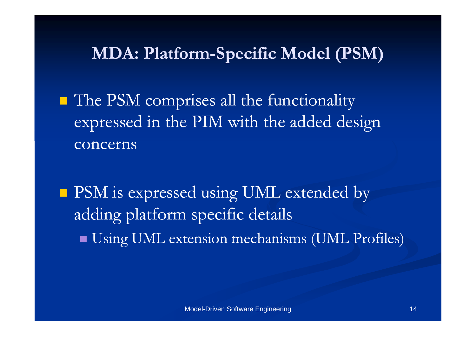#### **MDA: Platform Platform-Specific Model (PSM) Specific**

**The PSM comprises all the functionality** expressed in the PIM with the added design concerns

**PSM** is expressed using UML extended by adding platform specific details  $\blacksquare$  Using UML extension mechanisms (UML Profiles)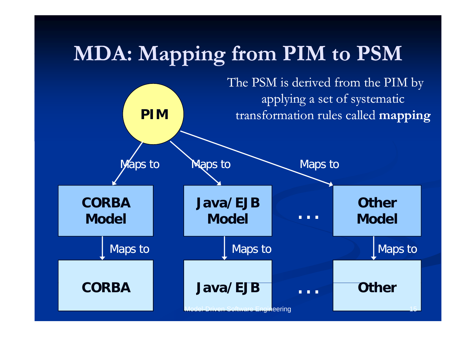### **MDA: Mapping from PIM to PSM**

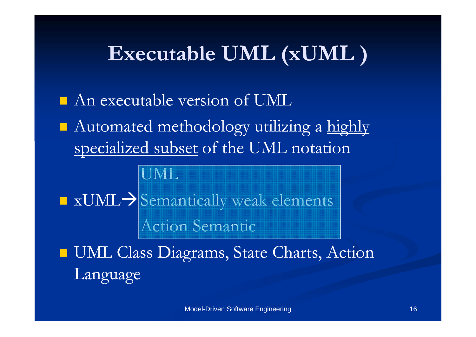### **Executable UML (xUML )**

 An executable version of UML Automated methodology utilizing a highly specialized subset of the UML notation

UMLF  $\Box$  xUML $\rightarrow$ Semantically weak elements Action Semantic

 UML Class Diagrams, State Charts, Action Language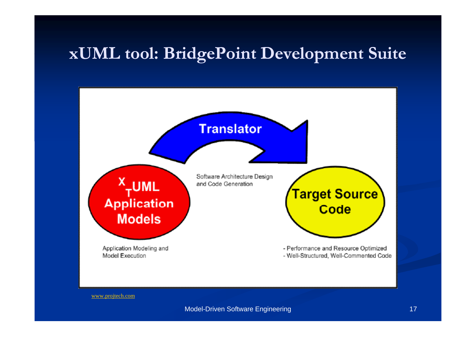### **xUML tool: BridgePoint Development Suite**



www.projtech.com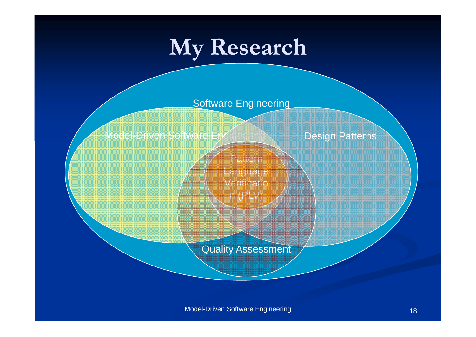

Software Engineering



Pattern Language Verificatio n (PLV)

Quality Assessment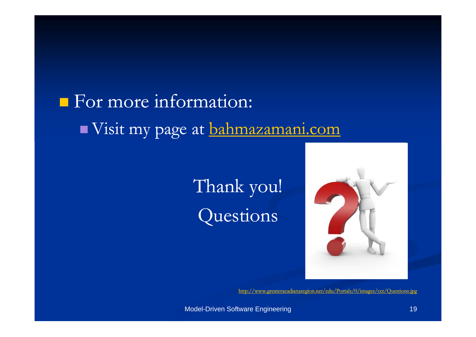**For more information:** ■ Visit my page at <u>bahmazamani.com</u>

> Thank you! Questions



http://www.greateracadianaregion.net/edu/Portals/0/images/cct/Questions.jpg